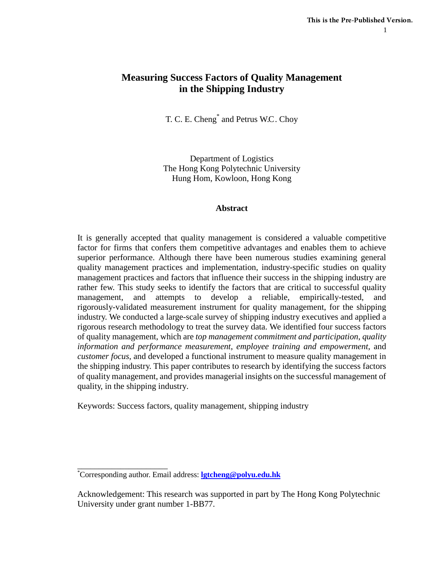# **Measuring Success Factors of Quality Management in the Shipping Industry**

T. C. E. Cheng\* and Petrus W.C. Choy

Department of Logistics The Hong Kong Polytechnic University Hung Hom, Kowloon, Hong Kong

## **Abstract**

It is generally accepted that quality management is considered a valuable competitive factor for firms that confers them competitive advantages and enables them to achieve superior performance. Although there have been numerous studies examining general quality management practices and implementation, industry-specific studies on quality management practices and factors that influence their success in the shipping industry are rather few. This study seeks to identify the factors that are critical to successful quality management, and attempts to develop a reliable, empirically-tested, and rigorously-validated measurement instrument for quality management, for the shipping industry. We conducted a large-scale survey of shipping industry executives and applied a rigorous research methodology to treat the survey data. We identified four success factors of quality management, which are *top management commitment and participation*, *quality information and performance measurement*, *employee training and empowerment*, and *customer focus*, and developed a functional instrument to measure quality management in the shipping industry. This paper contributes to research by identifying the success factors of quality management, and provides managerial insights on the successful management of quality, in the shipping industry.

Keywords: Success factors, quality management, shipping industry

\_\_\_\_\_\_\_\_\_\_\_\_\_\_\_\_\_\_\_\_\_

<sup>\*</sup> Corresponding author. Email address: **[lgtcheng@polyu.edu.hk](mailto:lgtcheng@polyu.edu.hk)**

Acknowledgement: This research was supported in part by The Hong Kong Polytechnic University under grant number 1-BB77.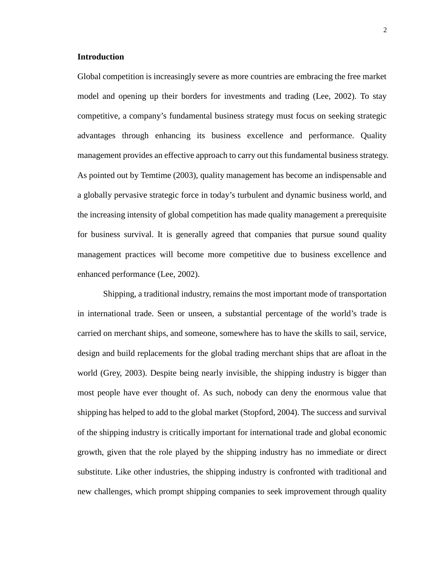## **Introduction**

Global competition is increasingly severe as more countries are embracing the free market model and opening up their borders for investments and trading (Lee, 2002). To stay competitive, a company's fundamental business strategy must focus on seeking strategic advantages through enhancing its business excellence and performance. Quality management provides an effective approach to carry out this fundamental business strategy. As pointed out by Temtime (2003), quality management has become an indispensable and a globally pervasive strategic force in today's turbulent and dynamic business world, and the increasing intensity of global competition has made quality management a prerequisite for business survival. It is generally agreed that companies that pursue sound quality management practices will become more competitive due to business excellence and enhanced performance (Lee, 2002).

Shipping, a traditional industry, remains the most important mode of transportation in international trade. Seen or unseen, a substantial percentage of the world's trade is carried on merchant ships, and someone, somewhere has to have the skills to sail, service, design and build replacements for the global trading merchant ships that are afloat in the world (Grey, 2003). Despite being nearly invisible, the shipping industry is bigger than most people have ever thought of. As such, nobody can deny the enormous value that shipping has helped to add to the global market (Stopford, 2004). The success and survival of the shipping industry is critically important for international trade and global economic growth, given that the role played by the shipping industry has no immediate or direct substitute. Like other industries, the shipping industry is confronted with traditional and new challenges, which prompt shipping companies to seek improvement through quality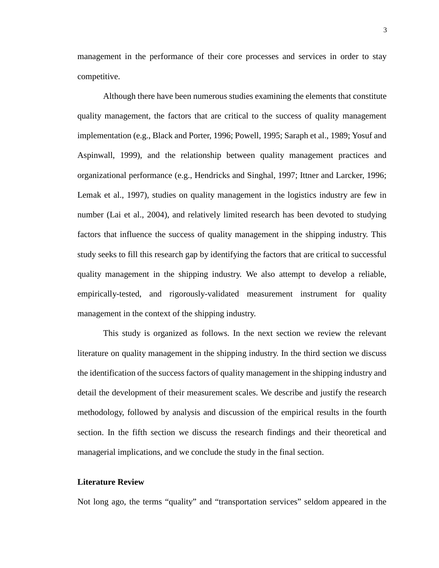management in the performance of their core processes and services in order to stay competitive.

Although there have been numerous studies examining the elements that constitute quality management, the factors that are critical to the success of quality management implementation (e.g., Black and Porter, 1996; Powell, 1995; Saraph et al., 1989; Yosuf and Aspinwall, 1999), and the relationship between quality management practices and organizational performance (e.g., Hendricks and Singhal, 1997; Ittner and Larcker, 1996; Lemak et al., 1997), studies on quality management in the logistics industry are few in number (Lai et al., 2004), and relatively limited research has been devoted to studying factors that influence the success of quality management in the shipping industry. This study seeks to fill this research gap by identifying the factors that are critical to successful quality management in the shipping industry. We also attempt to develop a reliable, empirically-tested, and rigorously-validated measurement instrument for quality management in the context of the shipping industry.

This study is organized as follows. In the next section we review the relevant literature on quality management in the shipping industry. In the third section we discuss the identification of the success factors of quality management in the shipping industry and detail the development of their measurement scales. We describe and justify the research methodology, followed by analysis and discussion of the empirical results in the fourth section. In the fifth section we discuss the research findings and their theoretical and managerial implications, and we conclude the study in the final section.

## **Literature Review**

Not long ago, the terms "quality" and "transportation services" seldom appeared in the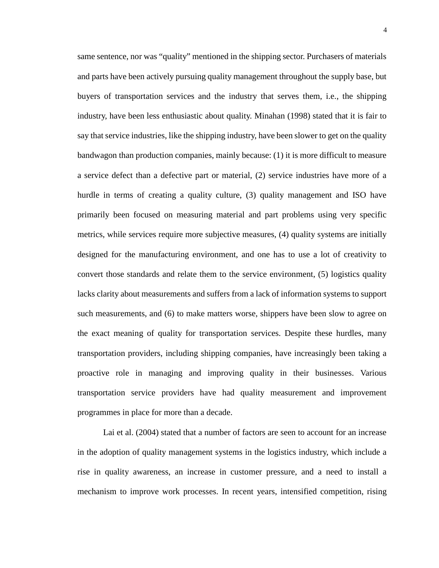same sentence, nor was "quality" mentioned in the shipping sector. Purchasers of materials and parts have been actively pursuing quality management throughout the supply base, but buyers of transportation services and the industry that serves them, i.e., the shipping industry, have been less enthusiastic about quality. Minahan (1998) stated that it is fair to say that service industries, like the shipping industry, have been slower to get on the quality bandwagon than production companies, mainly because: (1) it is more difficult to measure a service defect than a defective part or material, (2) service industries have more of a hurdle in terms of creating a quality culture, (3) quality management and ISO have primarily been focused on measuring material and part problems using very specific metrics, while services require more subjective measures, (4) quality systems are initially designed for the manufacturing environment, and one has to use a lot of creativity to convert those standards and relate them to the service environment, (5) logistics quality lacks clarity about measurements and suffers from a lack of information systems to support such measurements, and (6) to make matters worse, shippers have been slow to agree on the exact meaning of quality for transportation services. Despite these hurdles, many transportation providers, including shipping companies, have increasingly been taking a proactive role in managing and improving quality in their businesses. Various transportation service providers have had quality measurement and improvement programmes in place for more than a decade.

Lai et al. (2004) stated that a number of factors are seen to account for an increase in the adoption of quality management systems in the logistics industry, which include a rise in quality awareness, an increase in customer pressure, and a need to install a mechanism to improve work processes. In recent years, intensified competition, rising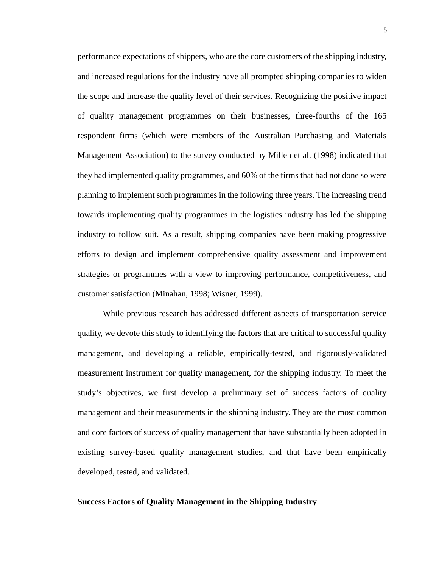performance expectations of shippers, who are the core customers of the shipping industry, and increased regulations for the industry have all prompted shipping companies to widen the scope and increase the quality level of their services. Recognizing the positive impact of quality management programmes on their businesses, three-fourths of the 165 respondent firms (which were members of the Australian Purchasing and Materials Management Association) to the survey conducted by Millen et al. (1998) indicated that they had implemented quality programmes, and 60% of the firms that had not done so were planning to implement such programmes in the following three years. The increasing trend towards implementing quality programmes in the logistics industry has led the shipping industry to follow suit. As a result, shipping companies have been making progressive efforts to design and implement comprehensive quality assessment and improvement strategies or programmes with a view to improving performance, competitiveness, and customer satisfaction (Minahan, 1998; Wisner, 1999).

While previous research has addressed different aspects of transportation service quality, we devote this study to identifying the factors that are critical to successful quality management, and developing a reliable, empirically-tested, and rigorously-validated measurement instrument for quality management, for the shipping industry. To meet the study's objectives, we first develop a preliminary set of success factors of quality management and their measurements in the shipping industry. They are the most common and core factors of success of quality management that have substantially been adopted in existing survey-based quality management studies, and that have been empirically developed, tested, and validated.

## **Success Factors of Quality Management in the Shipping Industry**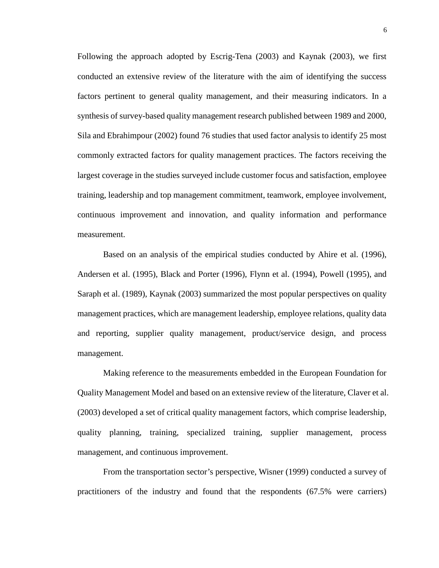Following the approach adopted by Escrig-Tena (2003) and Kaynak (2003), we first conducted an extensive review of the literature with the aim of identifying the success factors pertinent to general quality management, and their measuring indicators. In a synthesis of survey-based quality management research published between 1989 and 2000, Sila and Ebrahimpour (2002) found 76 studies that used factor analysis to identify 25 most commonly extracted factors for quality management practices. The factors receiving the largest coverage in the studies surveyed include customer focus and satisfaction, employee training, leadership and top management commitment, teamwork, employee involvement, continuous improvement and innovation, and quality information and performance measurement.

Based on an analysis of the empirical studies conducted by Ahire et al. (1996), Andersen et al. (1995), Black and Porter (1996), Flynn et al. (1994), Powell (1995), and Saraph et al. (1989), Kaynak (2003) summarized the most popular perspectives on quality management practices, which are management leadership, employee relations, quality data and reporting, supplier quality management, product/service design, and process management.

Making reference to the measurements embedded in the European Foundation for Quality Management Model and based on an extensive review of the literature, Claver et al. (2003) developed a set of critical quality management factors, which comprise leadership, quality planning, training, specialized training, supplier management, process management, and continuous improvement.

From the transportation sector's perspective, Wisner (1999) conducted a survey of practitioners of the industry and found that the respondents (67.5% were carriers)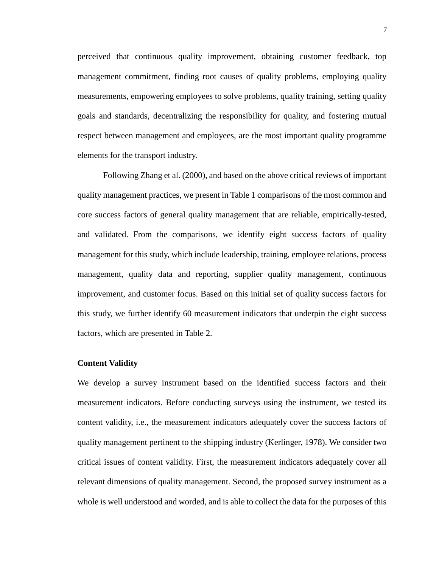perceived that continuous quality improvement, obtaining customer feedback, top management commitment, finding root causes of quality problems, employing quality measurements, empowering employees to solve problems, quality training, setting quality goals and standards, decentralizing the responsibility for quality, and fostering mutual respect between management and employees, are the most important quality programme elements for the transport industry.

Following Zhang et al. (2000), and based on the above critical reviews of important quality management practices, we present in Table 1 comparisons of the most common and core success factors of general quality management that are reliable, empirically-tested, and validated. From the comparisons, we identify eight success factors of quality management for this study, which include leadership, training, employee relations, process management, quality data and reporting, supplier quality management, continuous improvement, and customer focus. Based on this initial set of quality success factors for this study, we further identify 60 measurement indicators that underpin the eight success factors, which are presented in Table 2.

## **Content Validity**

We develop a survey instrument based on the identified success factors and their measurement indicators. Before conducting surveys using the instrument, we tested its content validity, i.e., the measurement indicators adequately cover the success factors of quality management pertinent to the shipping industry (Kerlinger, 1978). We consider two critical issues of content validity. First, the measurement indicators adequately cover all relevant dimensions of quality management. Second, the proposed survey instrument as a whole is well understood and worded, and is able to collect the data for the purposes of this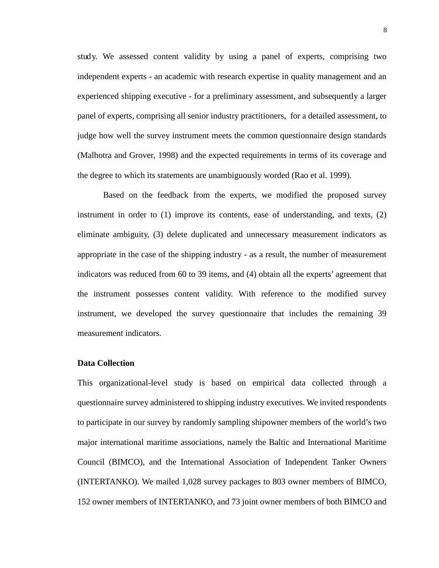study. We assessed content validity by using a panel of experts, comprising two independent experts - an academic with research expertise in quality management and an experienced shipping executive - for a preliminary assessment, and subsequently a larger panel of experts, comprising all senior industry practitioners, for a detailed assessment, to judge how well the survey instrument meets the common questionnaire design standards (Malhotra and Grover, 1998) and the expected requirements in terms of its coverage and the degree to which its statements are unambiguously worded (Rao et al. 1999).

Based on the feedback from the experts, we modified the proposed survey instrument in order to (1) improve its contents, ease of understanding, and texts, (2) eliminate ambiguity, (3) delete duplicated and unnecessary measurement indicators as appropriate in the case of the shipping industry - as a result, the number of measurement indicators was reduced from 60 to 39 items, and (4) obtain all the experts' agreement that the instrument possesses content validity. With reference to the modified survey instrument, we developed the survey questionnaire that includes the remaining 39 measurement indicators.

## **Data Collection**

This organizational-level study is based on empirical data collected through a questionnaire survey administered to shipping industry executives. We invited respondents to participate in our survey by randomly sampling shipowner members of the world's two major international maritime associations, namely the Baltic and International Maritime Council (BIMCO), and the International Association of Independent Tanker Owners (INTERTANKO). We mailed 1,028 survey packages to 803 owner members of BIMCO, 152 owner members of INTERTANKO, and 73 joint owner members of both BIMCO and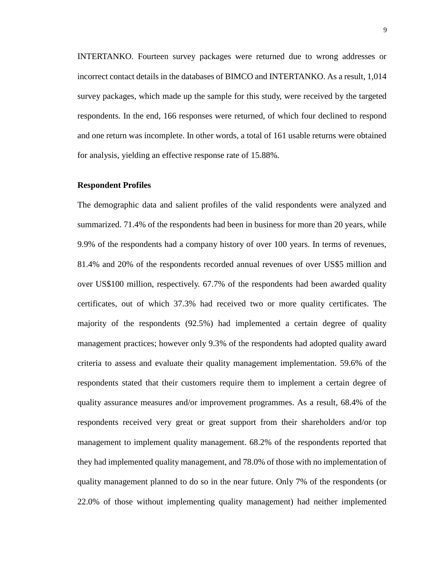INTERTANKO. Fourteen survey packages were returned due to wrong addresses or incorrect contact details in the databases of BIMCO and INTERTANKO. As a result, 1,014 survey packages, which made up the sample for this study, were received by the targeted respondents. In the end, 166 responses were returned, of which four declined to respond and one return was incomplete. In other words, a total of 161 usable returns were obtained for analysis, yielding an effective response rate of 15.88%.

## **Respondent Profiles**

The demographic data and salient profiles of the valid respondents were analyzed and summarized. 71.4% of the respondents had been in business for more than 20 years, while 9.9% of the respondents had a company history of over 100 years. In terms of revenues, 81.4% and 20% of the respondents recorded annual revenues of over US\$5 million and over US\$100 million, respectively. 67.7% of the respondents had been awarded quality certificates, out of which 37.3% had received two or more quality certificates. The majority of the respondents (92.5%) had implemented a certain degree of quality management practices; however only 9.3% of the respondents had adopted quality award criteria to assess and evaluate their quality management implementation. 59.6% of the respondents stated that their customers require them to implement a certain degree of quality assurance measures and/or improvement programmes. As a result, 68.4% of the respondents received very great or great support from their shareholders and/or top management to implement quality management. 68.2% of the respondents reported that they had implemented quality management, and 78.0% of those with no implementation of quality management planned to do so in the near future. Only 7% of the respondents (or 22.0% of those without implementing quality management) had neither implemented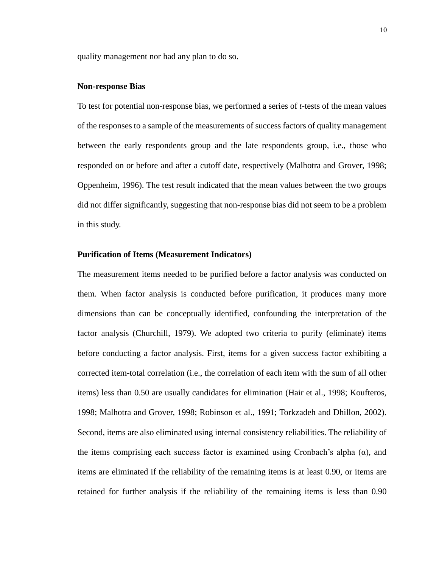quality management nor had any plan to do so.

## **Non-response Bias**

To test for potential non-response bias, we performed a series of *t*-tests of the mean values of the responses to a sample of the measurements of success factors of quality management between the early respondents group and the late respondents group, i.e., those who responded on or before and after a cutoff date, respectively (Malhotra and Grover, 1998; Oppenheim, 1996). The test result indicated that the mean values between the two groups did not differ significantly, suggesting that non-response bias did not seem to be a problem in this study.

## **Purification of Items (Measurement Indicators)**

The measurement items needed to be purified before a factor analysis was conducted on them. When factor analysis is conducted before purification, it produces many more dimensions than can be conceptually identified, confounding the interpretation of the factor analysis (Churchill, 1979). We adopted two criteria to purify (eliminate) items before conducting a factor analysis. First, items for a given success factor exhibiting a corrected item-total correlation (i.e., the correlation of each item with the sum of all other items) less than 0.50 are usually candidates for elimination (Hair et al., 1998; Koufteros, 1998; Malhotra and Grover, 1998; Robinson et al., 1991; Torkzadeh and Dhillon, 2002). Second, items are also eliminated using internal consistency reliabilities. The reliability of the items comprising each success factor is examined using Cronbach's alpha  $(\alpha)$ , and items are eliminated if the reliability of the remaining items is at least 0.90, or items are retained for further analysis if the reliability of the remaining items is less than 0.90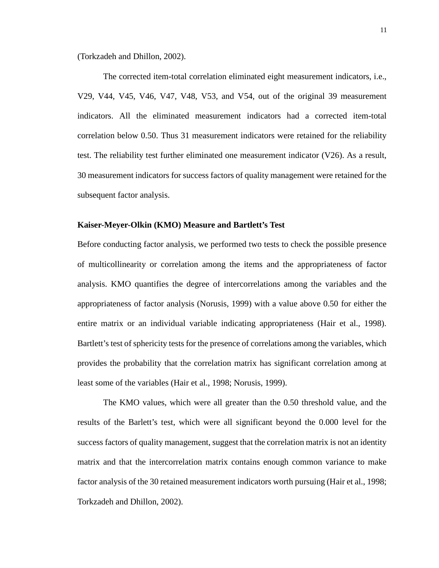(Torkzadeh and Dhillon, 2002).

The corrected item-total correlation eliminated eight measurement indicators, i.e., V29, V44, V45, V46, V47, V48, V53, and V54, out of the original 39 measurement indicators. All the eliminated measurement indicators had a corrected item-total correlation below 0.50. Thus 31 measurement indicators were retained for the reliability test. The reliability test further eliminated one measurement indicator (V26). As a result, 30 measurement indicators for success factors of quality management were retained for the subsequent factor analysis.

## **Kaiser-Meyer-Olkin (KMO) Measure and Bartlett's Test**

Before conducting factor analysis, we performed two tests to check the possible presence of multicollinearity or correlation among the items and the appropriateness of factor analysis. KMO quantifies the degree of intercorrelations among the variables and the appropriateness of factor analysis (Norusis, 1999) with a value above 0.50 for either the entire matrix or an individual variable indicating appropriateness (Hair et al., 1998). Bartlett's test of sphericity tests for the presence of correlations among the variables, which provides the probability that the correlation matrix has significant correlation among at least some of the variables (Hair et al., 1998; Norusis, 1999).

The KMO values, which were all greater than the 0.50 threshold value, and the results of the Barlett's test, which were all significant beyond the 0.000 level for the success factors of quality management, suggest that the correlation matrix is not an identity matrix and that the intercorrelation matrix contains enough common variance to make factor analysis of the 30 retained measurement indicators worth pursuing (Hair et al., 1998; Torkzadeh and Dhillon, 2002).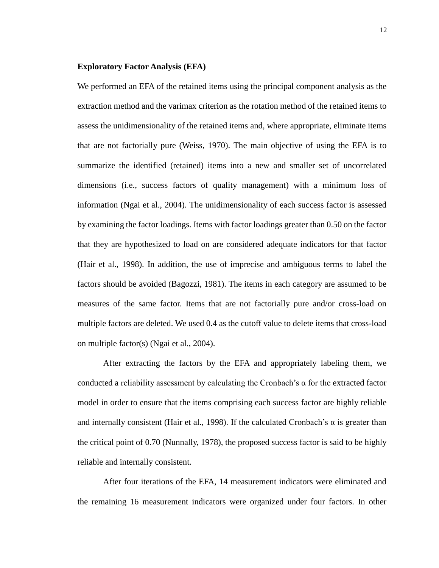## **Exploratory Factor Analysis (EFA)**

We performed an EFA of the retained items using the principal component analysis as the extraction method and the varimax criterion as the rotation method of the retained items to assess the unidimensionality of the retained items and, where appropriate, eliminate items that are not factorially pure (Weiss, 1970). The main objective of using the EFA is to summarize the identified (retained) items into a new and smaller set of uncorrelated dimensions (i.e., success factors of quality management) with a minimum loss of information (Ngai et al., 2004). The unidimensionality of each success factor is assessed by examining the factor loadings. Items with factor loadings greater than 0.50 on the factor that they are hypothesized to load on are considered adequate indicators for that factor (Hair et al., 1998). In addition, the use of imprecise and ambiguous terms to label the factors should be avoided (Bagozzi, 1981). The items in each category are assumed to be measures of the same factor. Items that are not factorially pure and/or cross-load on multiple factors are deleted. We used 0.4 as the cutoff value to delete items that cross-load on multiple factor(s) (Ngai et al., 2004).

After extracting the factors by the EFA and appropriately labeling them, we conducted a reliability assessment by calculating the Cronbach's  $\alpha$  for the extracted factor model in order to ensure that the items comprising each success factor are highly reliable and internally consistent (Hair et al., 1998). If the calculated Cronbach's  $\alpha$  is greater than the critical point of 0.70 (Nunnally, 1978), the proposed success factor is said to be highly reliable and internally consistent.

After four iterations of the EFA, 14 measurement indicators were eliminated and the remaining 16 measurement indicators were organized under four factors. In other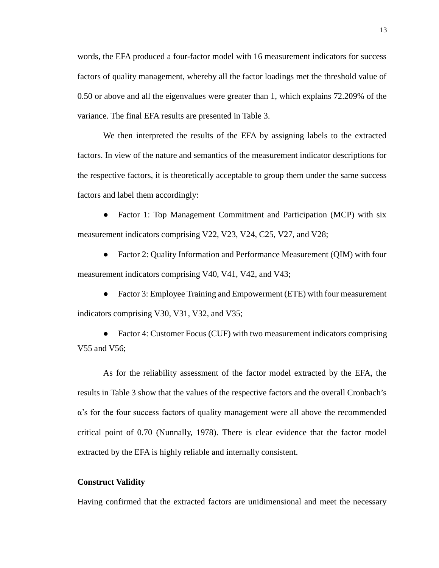words, the EFA produced a four-factor model with 16 measurement indicators for success factors of quality management, whereby all the factor loadings met the threshold value of 0.50 or above and all the eigenvalues were greater than 1, which explains 72.209% of the variance. The final EFA results are presented in Table 3.

We then interpreted the results of the EFA by assigning labels to the extracted factors. In view of the nature and semantics of the measurement indicator descriptions for the respective factors, it is theoretically acceptable to group them under the same success factors and label them accordingly:

• Factor 1: Top Management Commitment and Participation (MCP) with six measurement indicators comprising V22, V23, V24, C25, V27, and V28;

• Factor 2: Quality Information and Performance Measurement (QIM) with four measurement indicators comprising V40, V41, V42, and V43;

• Factor 3: Employee Training and Empowerment (ETE) with four measurement indicators comprising V30, V31, V32, and V35;

Factor 4: Customer Focus (CUF) with two measurement indicators comprising V55 and V56;

As for the reliability assessment of the factor model extracted by the EFA, the results in Table 3 show that the values of the respective factors and the overall Cronbach's α's for the four success factors of quality management were all above the recommended critical point of 0.70 (Nunnally, 1978). There is clear evidence that the factor model extracted by the EFA is highly reliable and internally consistent.

## **Construct Validity**

Having confirmed that the extracted factors are unidimensional and meet the necessary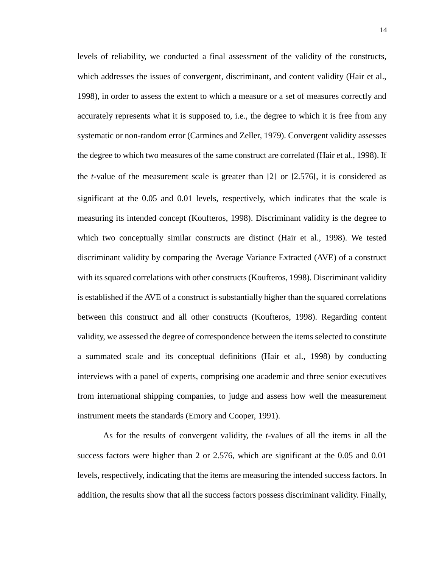levels of reliability, we conducted a final assessment of the validity of the constructs, which addresses the issues of convergent, discriminant, and content validity (Hair et al., 1998), in order to assess the extent to which a measure or a set of measures correctly and accurately represents what it is supposed to, i.e., the degree to which it is free from any systematic or non-random error (Carmines and Zeller, 1979). Convergent validity assesses the degree to which two measures of the same construct are correlated (Hair et al., 1998). If the *t*-value of the measurement scale is greater than ׀2׀ or ׀2.576׀, it is considered as significant at the 0.05 and 0.01 levels, respectively, which indicates that the scale is measuring its intended concept (Koufteros, 1998). Discriminant validity is the degree to which two conceptually similar constructs are distinct (Hair et al., 1998). We tested discriminant validity by comparing the Average Variance Extracted (AVE) of a construct with its squared correlations with other constructs (Koufteros, 1998). Discriminant validity is established if the AVE of a construct is substantially higher than the squared correlations between this construct and all other constructs (Koufteros, 1998). Regarding content validity, we assessed the degree of correspondence between the items selected to constitute a summated scale and its conceptual definitions (Hair et al., 1998) by conducting interviews with a panel of experts, comprising one academic and three senior executives from international shipping companies, to judge and assess how well the measurement instrument meets the standards (Emory and Cooper, 1991).

As for the results of convergent validity, the *t*-values of all the items in all the success factors were higher than 2 or 2.576, which are significant at the 0.05 and 0.01 levels, respectively, indicating that the items are measuring the intended success factors. In addition, the results show that all the success factors possess discriminant validity. Finally,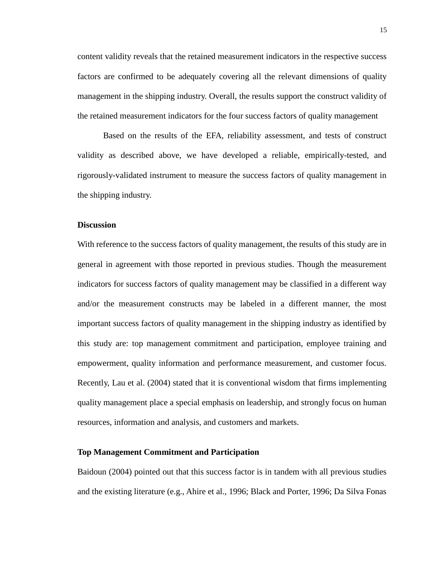content validity reveals that the retained measurement indicators in the respective success factors are confirmed to be adequately covering all the relevant dimensions of quality management in the shipping industry. Overall, the results support the construct validity of the retained measurement indicators for the four success factors of quality management

Based on the results of the EFA, reliability assessment, and tests of construct validity as described above, we have developed a reliable, empirically-tested, and rigorously-validated instrument to measure the success factors of quality management in the shipping industry.

## **Discussion**

With reference to the success factors of quality management, the results of this study are in general in agreement with those reported in previous studies. Though the measurement indicators for success factors of quality management may be classified in a different way and/or the measurement constructs may be labeled in a different manner, the most important success factors of quality management in the shipping industry as identified by this study are: top management commitment and participation, employee training and empowerment, quality information and performance measurement, and customer focus. Recently, Lau et al. (2004) stated that it is conventional wisdom that firms implementing quality management place a special emphasis on leadership, and strongly focus on human resources, information and analysis, and customers and markets.

#### **Top Management Commitment and Participation**

Baidoun (2004) pointed out that this success factor is in tandem with all previous studies and the existing literature (e.g., Ahire et al., 1996; Black and Porter, 1996; Da Silva Fonas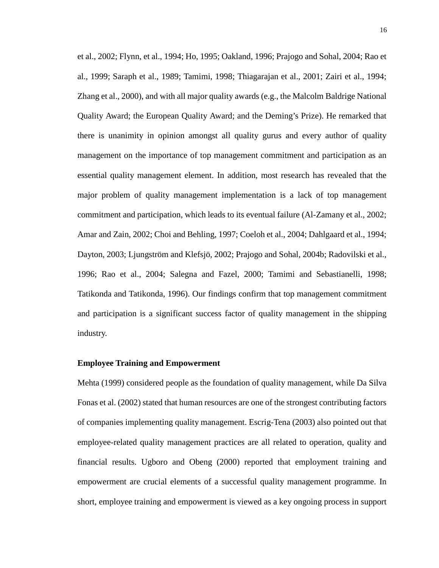et al., 2002; Flynn, et al., 1994; Ho, 1995; Oakland, 1996; Prajogo and Sohal, 2004; Rao et al., 1999; Saraph et al., 1989; Tamimi, 1998; Thiagarajan et al., 2001; Zairi et al., 1994; Zhang et al., 2000), and with all major quality awards (e.g., the Malcolm Baldrige National Quality Award; the European Quality Award; and the Deming's Prize). He remarked that there is unanimity in opinion amongst all quality gurus and every author of quality management on the importance of top management commitment and participation as an essential quality management element. In addition, most research has revealed that the major problem of quality management implementation is a lack of top management commitment and participation, which leads to its eventual failure (Al-Zamany et al., 2002; Amar and Zain, 2002; Choi and Behling, 1997; Coeloh et al., 2004; Dahlgaard et al., 1994; Dayton, 2003; Ljungström and Klefsjö, 2002; Prajogo and Sohal, 2004b; Radovilski et al., 1996; Rao et al., 2004; Salegna and Fazel, 2000; Tamimi and Sebastianelli, 1998; Tatikonda and Tatikonda, 1996). Our findings confirm that top management commitment and participation is a significant success factor of quality management in the shipping industry.

## **Employee Training and Empowerment**

Mehta (1999) considered people as the foundation of quality management, while Da Silva Fonas et al. (2002) stated that human resources are one of the strongest contributing factors of companies implementing quality management. Escrig-Tena (2003) also pointed out that employee-related quality management practices are all related to operation, quality and financial results. Ugboro and Obeng (2000) reported that employment training and empowerment are crucial elements of a successful quality management programme. In short, employee training and empowerment is viewed as a key ongoing process in support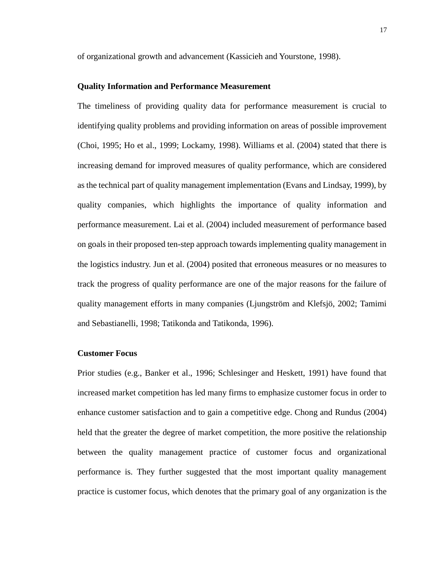of organizational growth and advancement (Kassicieh and Yourstone, 1998).

## **Quality Information and Performance Measurement**

The timeliness of providing quality data for performance measurement is crucial to identifying quality problems and providing information on areas of possible improvement (Choi, 1995; Ho et al., 1999; Lockamy, 1998). Williams et al. (2004) stated that there is increasing demand for improved measures of quality performance, which are considered as the technical part of quality management implementation (Evans and Lindsay, 1999), by quality companies, which highlights the importance of quality information and performance measurement. Lai et al. (2004) included measurement of performance based on goals in their proposed ten-step approach towards implementing quality management in the logistics industry. Jun et al. (2004) posited that erroneous measures or no measures to track the progress of quality performance are one of the major reasons for the failure of quality management efforts in many companies (Ljungström and Klefsjö, 2002; Tamimi and Sebastianelli, 1998; Tatikonda and Tatikonda, 1996).

## **Customer Focus**

Prior studies (e.g., Banker et al., 1996; Schlesinger and Heskett, 1991) have found that increased market competition has led many firms to emphasize customer focus in order to enhance customer satisfaction and to gain a competitive edge. Chong and Rundus (2004) held that the greater the degree of market competition, the more positive the relationship between the quality management practice of customer focus and organizational performance is. They further suggested that the most important quality management practice is customer focus, which denotes that the primary goal of any organization is the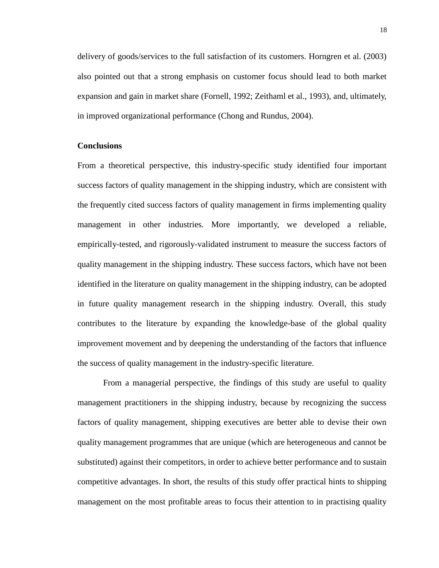delivery of goods/services to the full satisfaction of its customers. Horngren et al. (2003) also pointed out that a strong emphasis on customer focus should lead to both market expansion and gain in market share (Fornell, 1992; Zeithaml et al., 1993), and, ultimately, in improved organizational performance (Chong and Rundus, 2004).

## **Conclusions**

From a theoretical perspective, this industry-specific study identified four important success factors of quality management in the shipping industry, which are consistent with the frequently cited success factors of quality management in firms implementing quality management in other industries. More importantly, we developed a reliable, empirically-tested, and rigorously-validated instrument to measure the success factors of quality management in the shipping industry. These success factors, which have not been identified in the literature on quality management in the shipping industry, can be adopted in future quality management research in the shipping industry. Overall, this study contributes to the literature by expanding the knowledge-base of the global quality improvement movement and by deepening the understanding of the factors that influence the success of quality management in the industry-specific literature.

From a managerial perspective, the findings of this study are useful to quality management practitioners in the shipping industry, because by recognizing the success factors of quality management, shipping executives are better able to devise their own quality management programmes that are unique (which are heterogeneous and cannot be substituted) against their competitors, in order to achieve better performance and to sustain competitive advantages. In short, the results of this study offer practical hints to shipping management on the most profitable areas to focus their attention to in practising quality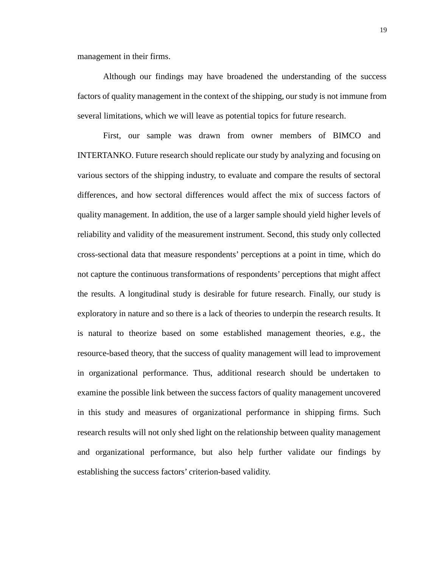management in their firms.

Although our findings may have broadened the understanding of the success factors of quality management in the context of the shipping, our study is not immune from several limitations, which we will leave as potential topics for future research.

First, our sample was drawn from owner members of BIMCO and INTERTANKO. Future research should replicate our study by analyzing and focusing on various sectors of the shipping industry, to evaluate and compare the results of sectoral differences, and how sectoral differences would affect the mix of success factors of quality management. In addition, the use of a larger sample should yield higher levels of reliability and validity of the measurement instrument. Second, this study only collected cross-sectional data that measure respondents' perceptions at a point in time, which do not capture the continuous transformations of respondents' perceptions that might affect the results. A longitudinal study is desirable for future research. Finally, our study is exploratory in nature and so there is a lack of theories to underpin the research results. It is natural to theorize based on some established management theories, e.g., the resource-based theory, that the success of quality management will lead to improvement in organizational performance. Thus, additional research should be undertaken to examine the possible link between the success factors of quality management uncovered in this study and measures of organizational performance in shipping firms. Such research results will not only shed light on the relationship between quality management and organizational performance, but also help further validate our findings by establishing the success factors' criterion-based validity.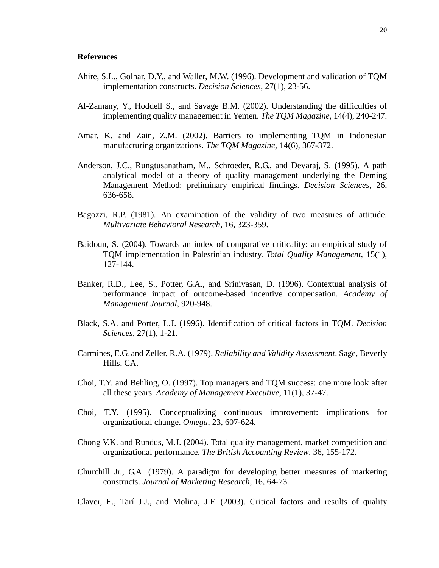#### **References**

- Ahire, S.L., Golhar, D.Y., and Waller, M.W. (1996). Development and validation of TQM implementation constructs. *Decision Sciences*, 27(1), 23-56.
- Al-Zamany, Y., Hoddell S., and Savage B.M. (2002). Understanding the difficulties of implementing quality management in Yemen. *The TQM Magazine*, 14(4), 240-247.
- Amar, K. and Zain, Z.M. (2002). Barriers to implementing TQM in Indonesian manufacturing organizations. *The TQM Magazine*, 14(6), 367-372.
- Anderson, J.C., Rungtusanatham, M., Schroeder, R.G., and Devaraj, S. (1995). A path analytical model of a theory of quality management underlying the Deming Management Method: preliminary empirical findings. *Decision Sciences*, 26, 636-658.
- Bagozzi, R.P. (1981). An examination of the validity of two measures of attitude. *Multivariate Behavioral Research*, 16, 323-359.
- Baidoun, S. (2004). Towards an index of comparative criticality: an empirical study of TQM implementation in Palestinian industry. *Total Quality Management*, 15(1), 127-144.
- Banker, R.D., Lee, S., Potter, G.A., and Srinivasan, D. (1996). Contextual analysis of performance impact of outcome-based incentive compensation. *Academy of Management Journal*, 920-948.
- Black, S.A. and Porter, L.J. (1996). Identification of critical factors in TQM. *Decision Sciences*, 27(1), 1-21.
- Carmines, E.G. and Zeller, R.A. (1979). *Reliability and Validity Assessment*. Sage, Beverly Hills, CA.
- Choi, T.Y. and Behling, O. (1997). Top managers and TQM success: one more look after all these years. *Academy of Management Executive*, 11(1), 37-47.
- Choi, T.Y. (1995). Conceptualizing continuous improvement: implications for organizational change. *Omega*, 23, 607-624.
- Chong V.K. and Rundus, M.J. (2004). Total quality management, market competition and organizational performance. *The British Accounting Review*, 36, 155-172.
- Churchill Jr., G.A. (1979). A paradigm for developing better measures of marketing constructs. *Journal of Marketing Research*, 16, 64-73.
- Claver, E., Tarí J.J., and Molina, J.F. (2003). Critical factors and results of quality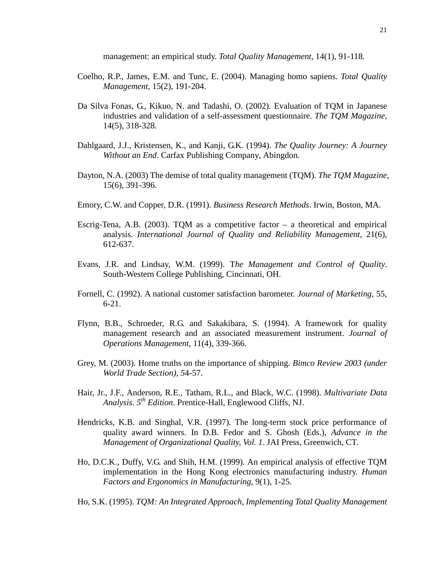management: an empirical study. *Total Quality Management*, 14(1), 91-118.

- Coelho, R.P., James, E.M. and Tunc, E. (2004). Managing homo sapiens. *Total Quality Management*, 15(2), 191-204.
- Da Silva Fonas, G., Kikuo, N. and Tadashi, O. (2002). Evaluation of TQM in Japanese industries and validation of a self-assessment questionnaire. *The TQM Magazine*, 14(5), 318-328.
- Dahlgaard, J.J., Kristensen, K., and Kanji, G.K. (1994). *The Quality Journey: A Journey Without an End*. Carfax Publishing Company*,* Abingdon.
- Dayton, N.A. (2003) The demise of total quality management (TQM). *The TQM Magazine*, 15(6), 391-396.
- Emory, C.W. and Copper, D.R. (1991). *Business Research Methods*. Irwin, Boston, MA.
- Escrig-Tena, A.B. (2003). TQM as a competitive factor  $-$  a theoretical and empirical analysis. *International Journal of Quality and Reliability Management*, 21(6), 612-637.
- Evans, J.R. and Lindsay, W.M. (1999). T*he Management and Control of Quality*. South-Western College Publishing, Cincinnati, OH.
- Fornell, C. (1992). A national customer satisfaction barometer. *Journal of Marketing*, 55, 6-21.
- Flynn, B.B., Schroeder, R.G. and Sakakibara, S. (1994). A framework for quality management research and an associated measurement instrument. *Journal of Operations Management*, 11(4), 339-366.
- Grey, M. (2003). Home truths on the importance of shipping. *Bimco Review 2003 (under World Trade Section), 5*4-57.
- Hair, Jr., J.F., Anderson, R.E., Tatham, R.L., and Black, W.C. (1998). *Multivariate Data Analysis. 5th Edition*. Prentice-Hall, Englewood Cliffs, NJ.
- Hendricks, K.B. and Singhal, V.R. (1997). The long-term stock price performance of quality award winners. In D.B. Fedor and S. Ghosh (Eds.), *Advance in the Management of Organizational Quality, Vol. 1*. JAI Press, Greenwich, CT.
- Ho, D.C.K., Duffy, V.G. and Shih, H.M. (1999). An empirical analysis of effective TQM implementation in the Hong Kong electronics manufacturing industry. *Human Factors and Ergonomics in Manufacturing*, 9(1), 1-25.
- Ho, S.K. (1995). *TQM: An Integrated Approach, Implementing Total Quality Management*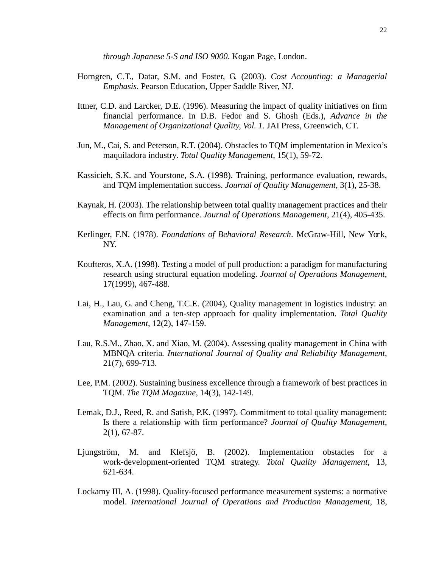*through Japanese 5-S and ISO 9000*. Kogan Page*,* London.

- Horngren, C.T., Datar, S.M. and Foster, G. (2003). *Cost Accounting: a Managerial Emphasis*. Pearson Education, Upper Saddle River, NJ.
- Ittner, C.D. and Larcker, D.E. (1996). Measuring the impact of quality initiatives on firm financial performance. In D.B. Fedor and S. Ghosh (Eds.), *Advance in the Management of Organizational Quality, Vol. 1*. JAI Press, Greenwich, CT.
- Jun, M., Cai, S. and Peterson, R.T. (2004). Obstacles to TQM implementation in Mexico's maquiladora industry*. Total Quality Management*, 15(1), 59-72.
- Kassicieh, S.K. and Yourstone, S.A. (1998). Training, performance evaluation, rewards, and TQM implementation success. *Journal of Quality Management*, 3(1), 25-38.
- Kaynak, H. (2003). The relationship between total quality management practices and their effects on firm performance. *Journal of Operations Management*, 21(4), 405-435.
- Kerlinger, F.N. (1978). *Foundations of Behavioral Research*. McGraw-Hill, New York, NY.
- Koufteros, X.A. (1998). Testing a model of pull production: a paradigm for manufacturing research using structural equation modeling. *Journal of Operations Management*, 17(1999), 467-488.
- Lai, H., Lau, G. and Cheng, T.C.E. (2004), Quality management in logistics industry: an examination and a ten-step approach for quality implementation. *Total Quality Management*, 12(2), 147-159.
- Lau, R.S.M., Zhao, X. and Xiao, M. (2004). Assessing quality management in China with MBNQA criteria*. International Journal of Quality and Reliability Management*, 21(7), 699-713.
- Lee, P.M. (2002). Sustaining business excellence through a framework of best practices in TQM. *The TQM Magazine*, 14(3), 142-149.
- Lemak, D.J., Reed, R. and Satish, P.K. (1997). Commitment to total quality management: Is there a relationship with firm performance? *Journal of Quality Management*, 2(1), 67-87.
- Ljungström, M. and Klefsjö, B. (2002). Implementation obstacles for a work-development-oriented TQM strategy. *Total Quality Management*, 13, 621-634.
- Lockamy III, A. (1998). Quality-focused performance measurement systems: a normative model. *International Journal of Operations and Production Management*, 18,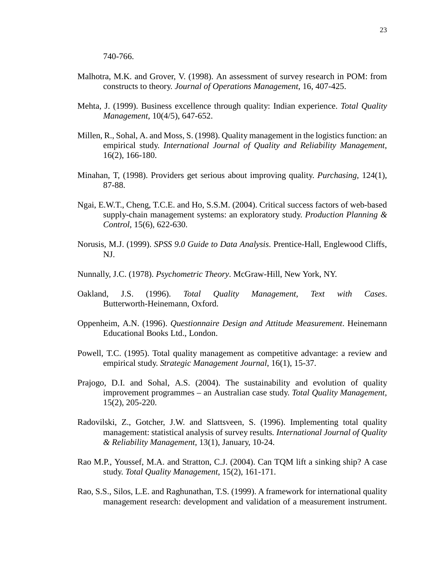- Malhotra, M.K. and Grover, V. (1998). An assessment of survey research in POM: from constructs to theory. *Journal of Operations Management*, 16, 407-425.
- Mehta, J. (1999). Business excellence through quality: Indian experience. *Total Quality Management*, 10(4/5), 647-652.
- Millen, R., Sohal, A. and Moss, S. (1998). Quality management in the logistics function: an empirical study. *International Journal of Quality and Reliability Management*, 16(2), 166-180.
- Minahan, T, (1998). Providers get serious about improving quality. *Purchasing*, 124(1), 87-88.
- Ngai, E.W.T., Cheng, T.C.E. and Ho, S.S.M. (2004). Critical success factors of web-based supply-chain management systems: an exploratory study. *Production Planning & Control*, 15(6), 622-630.
- Norusis, M.J. (1999). *SPSS 9.0 Guide to Data Analysis*. Prentice-Hall, Englewood Cliffs, NJ.
- Nunnally, J.C. (1978). *Psychometric Theory*. McGraw-Hill, New York, NY.
- Oakland, J.S. (1996). *Total Quality Management, Text with Cases*. Butterworth-Heinemann, Oxford.
- Oppenheim, A.N. (1996). *Questionnaire Design and Attitude Measurement*. Heinemann Educational Books Ltd., London.
- Powell, T.C. (1995). Total quality management as competitive advantage: a review and empirical study. *Strategic Management Journal*, 16(1), 15-37.
- Prajogo, D.I. and Sohal, A.S. (2004). The sustainability and evolution of quality improvement programmes – an Australian case study. *Total Quality Management*, 15(2), 205-220.
- Radovilski, Z., Gotcher, J.W. and Slattsveen, S. (1996). Implementing total quality management: statistical analysis of survey results*. International Journal of Quality & Reliability Management*, 13(1), January, 10-24.
- Rao M.P., Youssef, M.A. and Stratton, C.J. (2004). Can TQM lift a sinking ship? A case study. *Total Quality Management*, 15(2), 161-171.
- Rao, S.S., Silos, L.E. and Raghunathan, T.S. (1999). A framework for international quality management research: development and validation of a measurement instrument.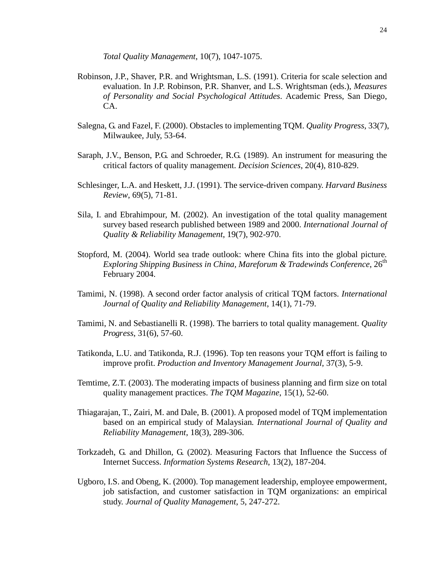*Total Quality Management*, 10(7), 1047-1075.

- Robinson, J.P., Shaver, P.R. and Wrightsman, L.S. (1991). Criteria for scale selection and evaluation. In J.P. Robinson, P.R. Shanver, and L.S. Wrightsman (eds.), *Measures of Personality and Social Psychological Attitudes*. Academic Press, San Diego, CA.
- Salegna, G. and Fazel, F. (2000). Obstacles to implementing TQM. *Quality Progress*, 33(7), Milwaukee, July, 53-64.
- Saraph, J.V., Benson, P.G. and Schroeder, R.G. (1989). An instrument for measuring the critical factors of quality management. *Decision Sciences*, 20(4), 810-829.
- Schlesinger, L.A. and Heskett, J.J. (1991). The service-driven company. *Harvard Business Review*, 69(5), 71-81.
- Sila, I. and Ebrahimpour, M. (2002). An investigation of the total quality management survey based research published between 1989 and 2000. *International Journal of Quality & Reliability Management*, 19(7), 902-970.
- Stopford, M. (2004). World sea trade outlook: where China fits into the global picture*. Exploring Shipping Business in China, Mareforum & Tradewinds Conference,* 26<sup>th</sup> February 2004.
- Tamimi, N. (1998). A second order factor analysis of critical TQM factors. *International Journal of Quality and Reliability Management*, 14(1), 71-79.
- Tamimi, N. and Sebastianelli R. (1998). The barriers to total quality management. *Quality Progress*, 31(6), 57-60.
- Tatikonda, L.U. and Tatikonda, R.J. (1996). Top ten reasons your TQM effort is failing to improve profit. *Production and Inventory Management Journal*, 37(3), 5-9.
- Temtime, Z.T. (2003). The moderating impacts of business planning and firm size on total quality management practices. *The TQM Magazine*, 15(1), 52-60.
- Thiagarajan, T., Zairi, M. and Dale, B. (2001). A proposed model of TQM implementation based on an empirical study of Malaysian*. International Journal of Quality and Reliability Management*, 18(3), 289-306.
- Torkzadeh, G. and Dhillon, G. (2002). Measuring Factors that Influence the Success of Internet Success. *Information Systems Research*, 13(2), 187-204.
- Ugboro, I.S. and Obeng, K. (2000). Top management leadership, employee empowerment, job satisfaction, and customer satisfaction in TQM organizations: an empirical study. *Journal of Quality Management*, 5, 247-272.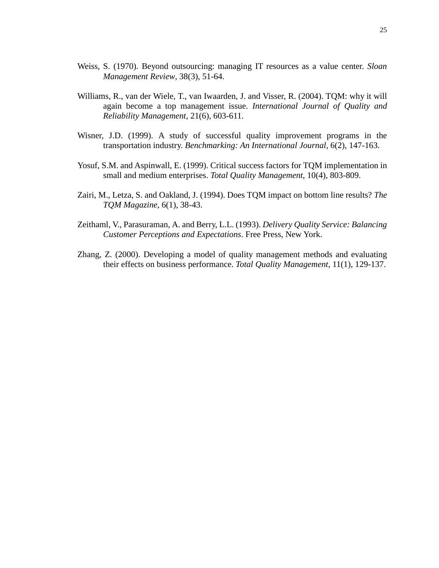- Weiss, S. (1970). Beyond outsourcing: managing IT resources as a value center. *Sloan Management Review*, 38(3), 51-64.
- Williams, R., van der Wiele, T., van Iwaarden, J. and Visser, R. (2004). TQM: why it will again become a top management issue. *International Journal of Quality and Reliability Management*, 21(6), 603-611.
- Wisner, J.D. (1999). A study of successful quality improvement programs in the transportation industry. *Benchmarking: An International Journal*, 6(2), 147-163.
- Yosuf, S.M. and Aspinwall, E. (1999). Critical success factors for TQM implementation in small and medium enterprises. *Total Quality Management*, 10(4), 803-809.
- Zairi, M., Letza, S. and Oakland, J. (1994). Does TQM impact on bottom line results? *The TQM Magazine*, 6(1), 38-43.
- Zeithaml, V., Parasuraman, A. and Berry, L.L. (1993). *Delivery Quality Service: Balancing Customer Perceptions and Expectations*. Free Press, New York.
- Zhang, Z. (2000). Developing a model of quality management methods and evaluating their effects on business performance. *Total Quality Management*, 11(1), 129-137.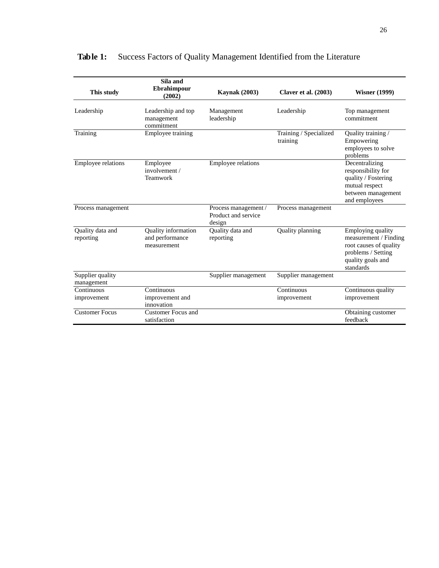|                                | Sila and                                              |                                                       |                                    |                                                                                                                              |
|--------------------------------|-------------------------------------------------------|-------------------------------------------------------|------------------------------------|------------------------------------------------------------------------------------------------------------------------------|
| This study                     | Ebrahimpour<br>(2002)                                 | <b>Kaynak</b> (2003)                                  | <b>Claver et al. (2003)</b>        | <b>Wisner (1999)</b>                                                                                                         |
| Leadership                     | Leadership and top<br>management<br>commitment        | Management<br>leadership                              | Leadership                         | Top management<br>commitment                                                                                                 |
| Training                       | Employee training                                     |                                                       | Training / Specialized<br>training | Quality training /<br>Empowering<br>employees to solve<br>problems                                                           |
| Employee relations             | Employee<br>involvement /<br>Teamwork                 | Employee relations                                    |                                    | Decentralizing<br>responsibility for<br>quality / Fostering<br>mutual respect<br>between management<br>and employees         |
| Process management             |                                                       | Process management /<br>Product and service<br>design | Process management                 |                                                                                                                              |
| Quality data and<br>reporting  | Quality information<br>and performance<br>measurement | Ouality data and<br>reporting                         | Quality planning                   | Employing quality<br>measurement / Finding<br>root causes of quality<br>problems / Setting<br>quality goals and<br>standards |
| Supplier quality<br>management |                                                       | Supplier management                                   | Supplier management                |                                                                                                                              |
| Continuous                     | Continuous                                            |                                                       | Continuous                         | Continuous quality                                                                                                           |
| improvement                    | improvement and<br>innovation                         |                                                       | improvement                        | improvement                                                                                                                  |
| <b>Customer Focus</b>          | <b>Customer Focus and</b><br>satisfaction             |                                                       |                                    | Obtaining customer<br>feedback                                                                                               |

# **Table 1:** Success Factors of Quality Management Identified from the Literature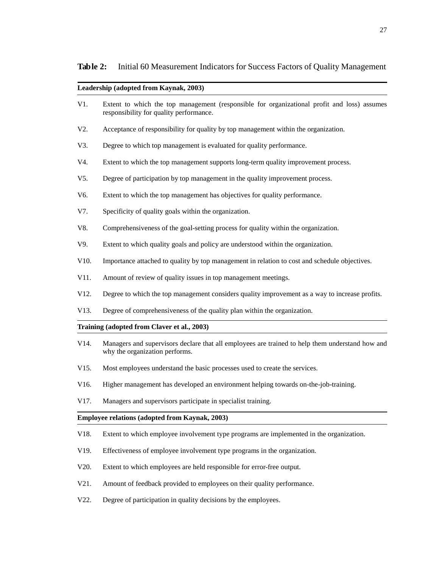**Table 2:** Initial 60 Measurement Indicators for Success Factors of Quality Management

|                   | Leadership (adopted from Kaynak, 2003)                                                                                                 |  |  |  |  |  |
|-------------------|----------------------------------------------------------------------------------------------------------------------------------------|--|--|--|--|--|
| V1.               | Extent to which the top management (responsible for organizational profit and loss) assumes<br>responsibility for quality performance. |  |  |  |  |  |
| V2.               | Acceptance of responsibility for quality by top management within the organization.                                                    |  |  |  |  |  |
| V3.               | Degree to which top management is evaluated for quality performance.                                                                   |  |  |  |  |  |
| V4.               | Extent to which the top management supports long-term quality improvement process.                                                     |  |  |  |  |  |
| $V5$ .            | Degree of participation by top management in the quality improvement process.                                                          |  |  |  |  |  |
| V6.               | Extent to which the top management has objectives for quality performance.                                                             |  |  |  |  |  |
| V7.               | Specificity of quality goals within the organization.                                                                                  |  |  |  |  |  |
| V8.               | Comprehensiveness of the goal-setting process for quality within the organization.                                                     |  |  |  |  |  |
| V9.               | Extent to which quality goals and policy are understood within the organization.                                                       |  |  |  |  |  |
| V10.              | Importance attached to quality by top management in relation to cost and schedule objectives.                                          |  |  |  |  |  |
| V11.              | Amount of review of quality issues in top management meetings.                                                                         |  |  |  |  |  |
| V12.              | Degree to which the top management considers quality improvement as a way to increase profits.                                         |  |  |  |  |  |
| V13.              | Degree of comprehensiveness of the quality plan within the organization.                                                               |  |  |  |  |  |
|                   | Training (adopted from Claver et al., 2003)                                                                                            |  |  |  |  |  |
| V <sub>14</sub> . | Managers and supervisors declare that all employees are trained to help them understand how and<br>why the organization performs.      |  |  |  |  |  |
| V <sub>15</sub> . | Most employees understand the basic processes used to create the services.                                                             |  |  |  |  |  |
| V <sub>16</sub> . | Higher management has developed an environment helping towards on-the-job-training.                                                    |  |  |  |  |  |
| V17.              | Managers and supervisors participate in specialist training.                                                                           |  |  |  |  |  |
|                   | Employee relations (adopted from Kaynak, 2003)                                                                                         |  |  |  |  |  |
| V18.              | Extent to which employee involvement type programs are implemented in the organization.                                                |  |  |  |  |  |
| V19.              | Effectiveness of employee involvement type programs in the organization.                                                               |  |  |  |  |  |
| V20.              | Extent to which employees are held responsible for error-free output.                                                                  |  |  |  |  |  |
| V21.              | Amount of feedback provided to employees on their quality performance.                                                                 |  |  |  |  |  |

V22. Degree of participation in quality decisions by the employees.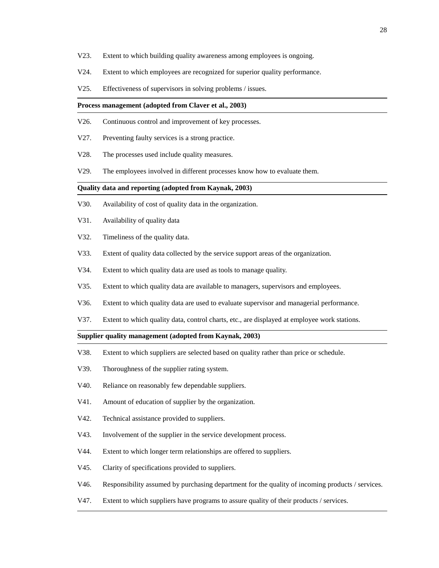- V23. Extent to which building quality awareness among employees is ongoing.
- V24. Extent to which employees are recognized for superior quality performance.
- V25. Effectiveness of supervisors in solving problems / issues.

#### **Process management (adopted from Claver et al., 2003)**

- V26. Continuous control and improvement of key processes.
- V27. Preventing faulty services is a strong practice.
- V28. The processes used include quality measures.
- V29. The employees involved in different processes know how to evaluate them.

#### **Quality data and reporting (adopted from Kaynak, 2003)**

- V30. Availability of cost of quality data in the organization.
- V31. Availability of quality data
- V32. Timeliness of the quality data.
- V33. Extent of quality data collected by the service support areas of the organization.
- V34. Extent to which quality data are used as tools to manage quality.
- V35. Extent to which quality data are available to managers, supervisors and employees.
- V36. Extent to which quality data are used to evaluate supervisor and managerial performance.
- V37. Extent to which quality data, control charts, etc., are displayed at employee work stations.

#### **Supplier quality management (adopted from Kaynak, 2003)**

- V38. Extent to which suppliers are selected based on quality rather than price or schedule.
- V39. Thoroughness of the supplier rating system.
- V40. Reliance on reasonably few dependable suppliers.
- V41. Amount of education of supplier by the organization.
- V42. Technical assistance provided to suppliers.
- V43. Involvement of the supplier in the service development process.
- V44. Extent to which longer term relationships are offered to suppliers.
- V45. Clarity of specifications provided to suppliers.
- V46. Responsibility assumed by purchasing department for the quality of incoming products / services.
- V47. Extent to which suppliers have programs to assure quality of their products / services.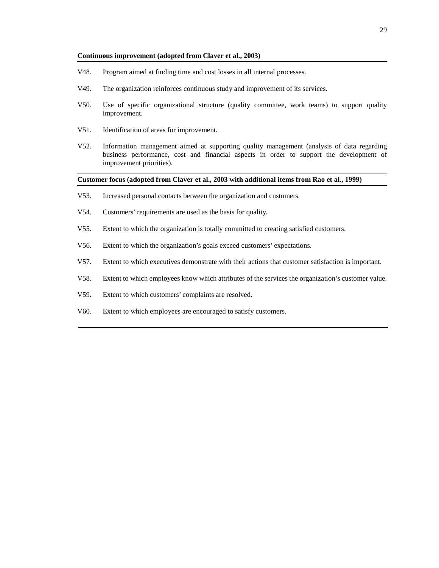#### **Continuous improvement (adopted from Claver et al., 2003)**

- V48. Program aimed at finding time and cost losses in all internal processes.
- V49. The organization reinforces continuous study and improvement of its services.
- V50. Use of specific organizational structure (quality committee, work teams) to support quality improvement.
- V51. Identification of areas for improvement.
- V52. Information management aimed at supporting quality management (analysis of data regarding business performance, cost and financial aspects in order to support the development of improvement priorities).

#### **Customer focus (adopted from Claver et al., 2003 with additional items from Rao et al., 1999)**

- V53. Increased personal contacts between the organization and customers.
- V54. Customers' requirements are used as the basis for quality.
- V55. Extent to which the organization is totally committed to creating satisfied customers.
- V56. Extent to which the organization's goals exceed customers' expectations.
- V57. Extent to which executives demonstrate with their actions that customer satisfaction is important.
- V58. Extent to which employees know which attributes of the services the organization's customer value.
- V59. Extent to which customers' complaints are resolved.
- V60. Extent to which employees are encouraged to satisfy customers.